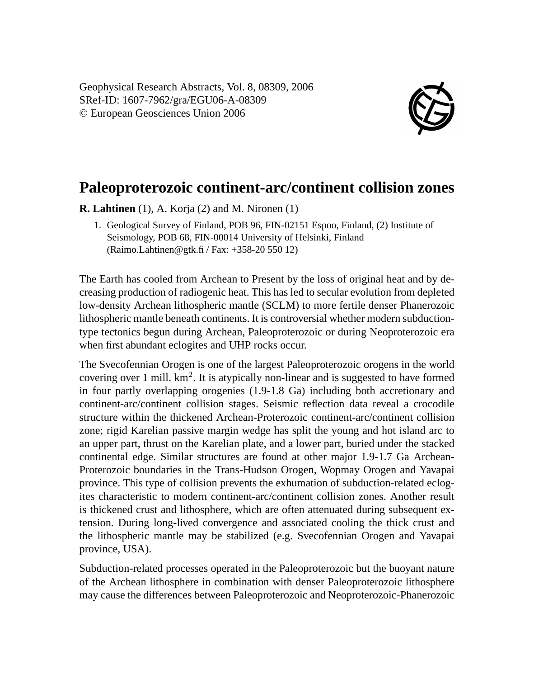Geophysical Research Abstracts, Vol. 8, 08309, 2006 SRef-ID: 1607-7962/gra/EGU06-A-08309 © European Geosciences Union 2006



## **Paleoproterozoic continent-arc/continent collision zones**

**R. Lahtinen** (1), A. Korja (2) and M. Nironen (1)

1. Geological Survey of Finland, POB 96, FIN-02151 Espoo, Finland, (2) Institute of Seismology, POB 68, FIN-00014 University of Helsinki, Finland (Raimo.Lahtinen@gtk.fi / Fax: +358-20 550 12)

The Earth has cooled from Archean to Present by the loss of original heat and by decreasing production of radiogenic heat. This has led to secular evolution from depleted low-density Archean lithospheric mantle (SCLM) to more fertile denser Phanerozoic lithospheric mantle beneath continents. It is controversial whether modern subductiontype tectonics begun during Archean, Paleoproterozoic or during Neoproterozoic era when first abundant eclogites and UHP rocks occur.

The Svecofennian Orogen is one of the largest Paleoproterozoic orogens in the world covering over 1 mill.  $km^2$ . It is atypically non-linear and is suggested to have formed in four partly overlapping orogenies (1.9-1.8 Ga) including both accretionary and continent-arc/continent collision stages. Seismic reflection data reveal a crocodile structure within the thickened Archean-Proterozoic continent-arc/continent collision zone; rigid Karelian passive margin wedge has split the young and hot island arc to an upper part, thrust on the Karelian plate, and a lower part, buried under the stacked continental edge. Similar structures are found at other major 1.9-1.7 Ga Archean-Proterozoic boundaries in the Trans-Hudson Orogen, Wopmay Orogen and Yavapai province. This type of collision prevents the exhumation of subduction-related eclogites characteristic to modern continent-arc/continent collision zones. Another result is thickened crust and lithosphere, which are often attenuated during subsequent extension. During long-lived convergence and associated cooling the thick crust and the lithospheric mantle may be stabilized (e.g. Svecofennian Orogen and Yavapai province, USA).

Subduction-related processes operated in the Paleoproterozoic but the buoyant nature of the Archean lithosphere in combination with denser Paleoproterozoic lithosphere may cause the differences between Paleoproterozoic and Neoproterozoic-Phanerozoic